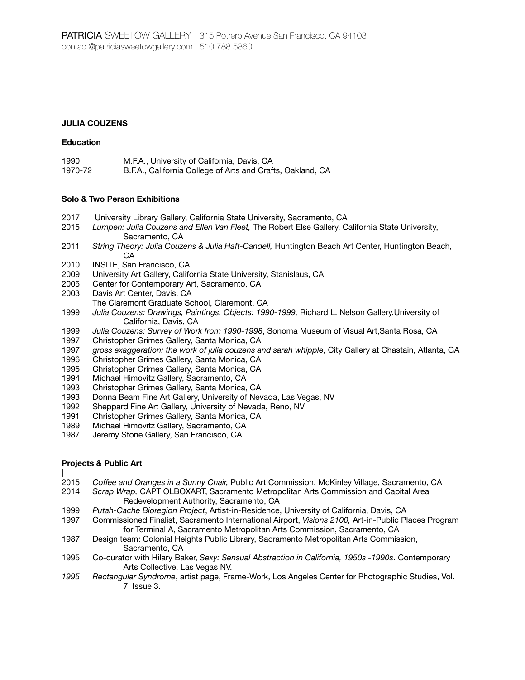### **JULIA COUZENS**

## **Education**

| 1990    | M.F.A., University of California, Davis, CA                |
|---------|------------------------------------------------------------|
| 1970-72 | B.F.A., California College of Arts and Crafts, Oakland, CA |

# **Solo & Two Person Exhibitions**

- 2017 University Library Gallery, California State University, Sacramento, CA
- 2015 *Lumpen: Julia Couzens and Ellen Van Fleet,* The Robert Else Gallery, California State University, Sacramento, CA
- 2011 *String Theory: Julia Couzens & Julia Haft-Candell,* Huntington Beach Art Center, Huntington Beach, CA
- 2010 INSITE, San Francisco, CA
- 2009 University Art Gallery, California State University, Stanislaus, CA
- 2005 Center for Contemporary Art, Sacramento, CA
- 2003 Davis Art Center, Davis, CA The Claremont Graduate School, Claremont, CA
- 1999 *Julia Couzens: Drawings, Paintings, Objects: 1990-1999,* Richard L. Nelson Gallery,University of California, Davis, CA
- 1999 *Julia Couzens: Survey of Work from 1990-1998*, Sonoma Museum of Visual Art,Santa Rosa, CA
- 1997 Christopher Grimes Gallery, Santa Monica, CA
- 1997 *gross exaggeration: the work of julia couzens and sarah whipple*, City Gallery at Chastain, Atlanta, GA
- 1996 Christopher Grimes Gallery, Santa Monica, CA
- 1995 Christopher Grimes Gallery, Santa Monica, CA
- 1994 Michael Himovitz Gallery, Sacramento, CA
- 1993 Christopher Grimes Gallery, Santa Monica, CA
- 1993 Donna Beam Fine Art Gallery, University of Nevada, Las Vegas, NV
- 1992 Sheppard Fine Art Gallery, University of Nevada, Reno, NV
- 1991 Christopher Grimes Gallery, Santa Monica, CA
- 1989 Michael Himovitz Gallery, Sacramento, CA
- 1987 Jeremy Stone Gallery, San Francisco, CA

# **Projects & Public Art**

- | 2015 *Coffee and Oranges in a Sunny Chair,* Public Art Commission, McKinley Village, Sacramento, CA
- 2014 *Scrap Wrap,* CAPTIOLBOXART, Sacramento Metropolitan Arts Commission and Capital Area Redevelopment Authority, Sacramento, CA
- 1999 *Putah-Cache Bioregion Project*, Artist-in-Residence, University of California, Davis, CA
- 1997 Commissioned Finalist, Sacramento International Airport, *Visions 2100,* Art-in-Public Places Program for Terminal A, Sacramento Metropolitan Arts Commission, Sacramento, CA
- 1987 Design team: Colonial Heights Public Library, Sacramento Metropolitan Arts Commission, Sacramento, CA
- 1995 Co-curator with Hilary Baker, *Sexy: Sensual Abstraction in California, 1950s -1990s*. Contemporary Arts Collective, Las Vegas NV.
- *1995 Rectangular Syndrome*, artist page, Frame-Work, Los Angeles Center for Photographic Studies, Vol. 7, Issue 3.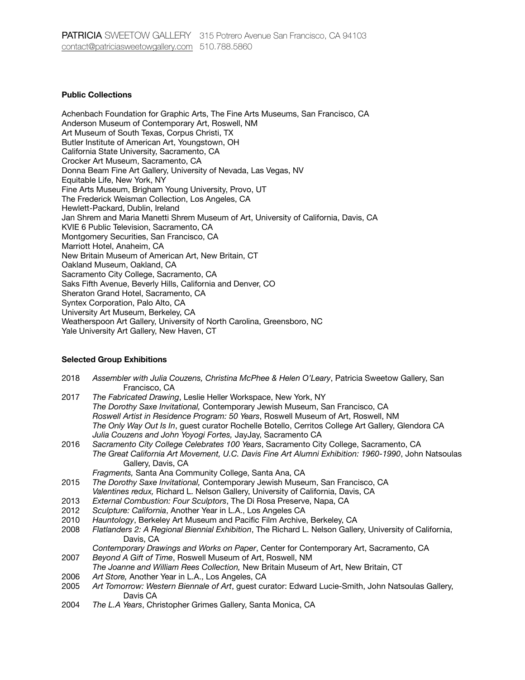### **Public Collections**

Achenbach Foundation for Graphic Arts, The Fine Arts Museums, San Francisco, CA Anderson Museum of Contemporary Art, Roswell, NM Art Museum of South Texas, Corpus Christi, TX Butler Institute of American Art, Youngstown, OH California State University, Sacramento, CA Crocker Art Museum, Sacramento, CA Donna Beam Fine Art Gallery, University of Nevada, Las Vegas, NV Equitable Life, New York, NY Fine Arts Museum, Brigham Young University, Provo, UT The Frederick Weisman Collection, Los Angeles, CA Hewlett-Packard, Dublin, Ireland Jan Shrem and Maria Manetti Shrem Museum of Art, University of California, Davis, CA KVIE 6 Public Television, Sacramento, CA Montgomery Securities, San Francisco, CA Marriott Hotel, Anaheim, CA New Britain Museum of American Art, New Britain, CT Oakland Museum, Oakland, CA Sacramento City College, Sacramento, CA Saks Fifth Avenue, Beverly Hills, California and Denver, CO Sheraton Grand Hotel, Sacramento, CA Syntex Corporation, Palo Alto, CA University Art Museum, Berkeley, CA Weatherspoon Art Gallery, University of North Carolina, Greensboro, NC Yale University Art Gallery, New Haven, CT

### **Selected Group Exhibitions**

| 2018 | Assembler with Julia Couzens, Christina McPhee & Helen O'Leary, Patricia Sweetow Gallery, San<br>Francisco, CA                                                                                                                                                                                                                                                                                         |
|------|--------------------------------------------------------------------------------------------------------------------------------------------------------------------------------------------------------------------------------------------------------------------------------------------------------------------------------------------------------------------------------------------------------|
| 2017 | The Fabricated Drawing, Leslie Heller Workspace, New York, NY<br>The Dorothy Saxe Invitational, Contemporary Jewish Museum, San Francisco, CA<br>Roswell Artist in Residence Program: 50 Years, Roswell Museum of Art, Roswell, NM<br>The Only Way Out Is In, guest curator Rochelle Botello, Cerritos College Art Gallery, Glendora CA<br>Julia Couzens and John Yoyogi Fortes, JayJay, Sacramento CA |
| 2016 | Sacramento City College Celebrates 100 Years, Sacramento City College, Sacramento, CA<br>The Great California Art Movement, U.C. Davis Fine Art Alumni Exhibition: 1960-1990, John Natsoulas<br>Gallery, Davis, CA                                                                                                                                                                                     |
|      | Fragments, Santa Ana Community College, Santa Ana, CA                                                                                                                                                                                                                                                                                                                                                  |
| 2015 | The Dorothy Saxe Invitational, Contemporary Jewish Museum, San Francisco, CA<br>Valentines redux, Richard L. Nelson Gallery, University of California, Davis, CA                                                                                                                                                                                                                                       |
| 2013 | External Combustion: Four Sculptors, The Di Rosa Preserve, Napa, CA                                                                                                                                                                                                                                                                                                                                    |
| 2012 | Sculpture: California, Another Year in L.A., Los Angeles CA                                                                                                                                                                                                                                                                                                                                            |
| 2010 | Hauntology, Berkeley Art Museum and Pacific Film Archive, Berkeley, CA                                                                                                                                                                                                                                                                                                                                 |
| 2008 | Flatlanders 2: A Regional Biennial Exhibition, The Richard L. Nelson Gallery, University of California,<br>Davis, CA                                                                                                                                                                                                                                                                                   |
|      | Contemporary Drawings and Works on Paper, Center for Contemporary Art, Sacramento, CA                                                                                                                                                                                                                                                                                                                  |
| 2007 | Beyond A Gift of Time, Roswell Museum of Art, Roswell, NM                                                                                                                                                                                                                                                                                                                                              |
|      | The Joanne and William Rees Collection, New Britain Museum of Art, New Britain, CT                                                                                                                                                                                                                                                                                                                     |
| 2006 | Art Store, Another Year in L.A., Los Angeles, CA                                                                                                                                                                                                                                                                                                                                                       |
| 2005 | Art Tomorrow: Western Biennale of Art, guest curator: Edward Lucie-Smith, John Natsoulas Gallery,<br>Davis CA                                                                                                                                                                                                                                                                                          |
| 2004 | The L.A Years, Christopher Grimes Gallery, Santa Monica, CA                                                                                                                                                                                                                                                                                                                                            |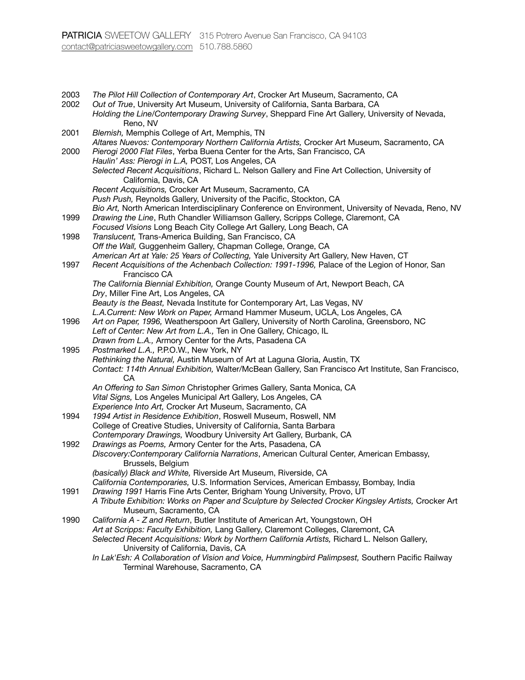2003 *The Pilot Hill Collection of Contemporary Art*, Crocker Art Museum, Sacramento, CA 2002 *Out of True*, University Art Museum, University of California, Santa Barbara, CA *Holding the Line/Contemporary Drawing Survey*, Sheppard Fine Art Gallery, University of Nevada, Reno, NV 2001 *Blemish,* Memphis College of Art, Memphis, TN *Altares Nuevos: Contemporary Northern California Artists,* Crocker Art Museum, Sacramento, CA 2000 *Pierogi 2000 Flat Files*, Yerba Buena Center for the Arts, San Francisco, CA *Haulin' Ass: Pierogi in L.A,* POST, Los Angeles, CA *Selected Recent Acquisitions*, Richard L. Nelson Gallery and Fine Art Collection, University of California, Davis, CA *Recent Acquisitions,* Crocker Art Museum, Sacramento, CA *Push Push,* Reynolds Gallery, University of the Pacific, Stockton, CA *Bio Art,* North American Interdisciplinary Conference on Environment, University of Nevada, Reno, NV 1999 *Drawing the Line*, Ruth Chandler Williamson Gallery, Scripps College, Claremont, CA *Focused Visions* Long Beach City College Art Gallery, Long Beach, CA 1998 *Translucent,* Trans-America Building, San Francisco, CA *Off the Wall,* Guggenheim Gallery, Chapman College, Orange, CA *American Art at Yale: 25 Years of Collecting,* Yale University Art Gallery, New Haven, CT 1997 *Recent Acquisitions of the Achenbach Collection: 1991-1996*, Palace of the Legion of Honor, San Francisco CA *The California Biennial Exhibition,* Orange County Museum of Art, Newport Beach, CA *Dry*, Miller Fine Art, Los Angeles, CA *Beauty is the Beast,* Nevada Institute for Contemporary Art, Las Vegas, NV *L.A.Current: New Work on Paper,* Armand Hammer Museum, UCLA, Los Angeles, CA 1996 *Art on Paper, 1996,* Weatherspoon Art Gallery, University of North Carolina, Greensboro, NC *Left of Center: New Art from L.A.,* Ten in One Gallery, Chicago, IL *Drawn from L.A.,* Armory Center for the Arts, Pasadena CA 1995 *Postmarked L.A.,* P.P.O.W., New York, NY *Rethinking the Natural,* Austin Museum of Art at Laguna Gloria, Austin, TX *Contact: 114th Annual Exhibition,* Walter/McBean Gallery, San Francisco Art Institute, San Francisco, CA *An Offering to San Simon* Christopher Grimes Gallery, Santa Monica, CA *Vital Signs,* Los Angeles Municipal Art Gallery, Los Angeles, CA *Experience Into Art,* Crocker Art Museum, Sacramento, CA 1994 *1994 Artist in Residence Exhibition*, Roswell Museum, Roswell, NM College of Creative Studies, University of California, Santa Barbara *Contemporary Drawings,* Woodbury University Art Gallery, Burbank, CA 1992 *Drawings as Poems,* Armory Center for the Arts, Pasadena, CA *Discovery:Contemporary California Narrations*, American Cultural Center, American Embassy, Brussels, Belgium *(basically) Black and White,* Riverside Art Museum, Riverside, CA *California Contemporaries,* U.S. Information Services, American Embassy, Bombay, India 1991 *Drawing 1991* Harris Fine Arts Center, Brigham Young University, Provo, UT *A Tribute Exhibition: Works on Paper and Sculpture by Selected Crocker Kingsley Artists,* Crocker Art Museum, Sacramento, CA 1990 *California A - Z and Return*, Butler Institute of American Art, Youngstown, OH *Art at Scripps: Faculty Exhibition,* Lang Gallery, Claremont Colleges, Claremont, CA *Selected Recent Acquisitions: Work by Northern California Artists,* Richard L. Nelson Gallery, University of California, Davis, CA In Lak'Esh: A Collaboration of Vision and Voice, Hummingbird Palimpsest, Southern Pacific Railway Terminal Warehouse, Sacramento, CA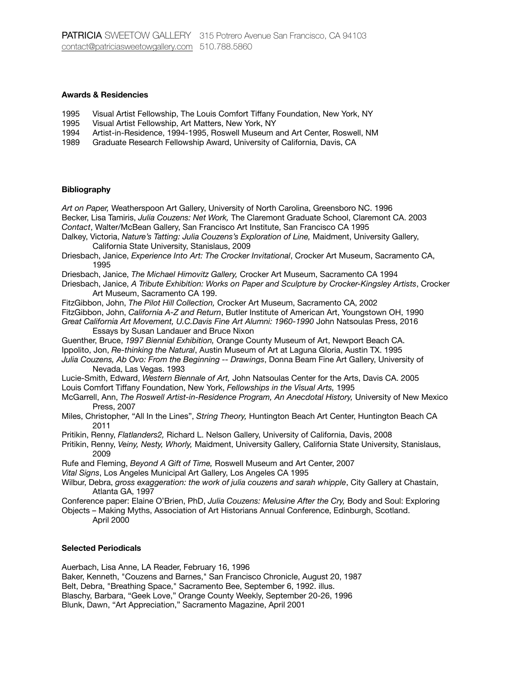#### **Awards & Residencies**

- 1995 Visual Artist Fellowship, The Louis Comfort Tiffany Foundation, New York, NY
- 1995 Visual Artist Fellowship, Art Matters, New York, NY
- 1994 Artist-in-Residence, 1994-1995, Roswell Museum and Art Center, Roswell, NM
- 1989 Graduate Research Fellowship Award, University of California, Davis, CA

#### **Bibliography**

*Art on Paper,* Weatherspoon Art Gallery, University of North Carolina, Greensboro NC. 1996 Becker, Lisa Tamiris, *Julia Couzens: Net Work,* The Claremont Graduate School, Claremont CA. 2003 *Contact*, Walter/McBean Gallery, San Francisco Art Institute, San Francisco CA 1995 Dalkey, Victoria, Nature's Tatting: Julia Couzens's Exploration of Line, Maidment, University Gallery, California State University, Stanislaus, 2009

- Driesbach, Janice, *Experience Into Art: The Crocker Invitational*, Crocker Art Museum, Sacramento CA, 1995
- Driesbach, Janice, *The Michael Himovitz Gallery,* Crocker Art Museum, Sacramento CA 1994
- Driesbach, Janice, *A Tribute Exhibition: Works on Paper and Sculpture by Crocker-Kingsley Artists*, Crocker Art Museum, Sacramento CA 199.

FitzGibbon, John, *The Pilot Hill Collection,* Crocker Art Museum, Sacramento CA, 2002 FitzGibbon, John, *California A-Z and Return*, Butler Institute of American Art, Youngstown OH, 1990 *Great California Art Movement, U.C.Davis Fine Art Alumni: 1960-1990* John Natsoulas Press, 2016 Essays by Susan Landauer and Bruce Nixon

Guenther, Bruce, *1997 Biennial Exhibition,* Orange County Museum of Art, Newport Beach CA. Ippolito, Jon, *Re-thinking the Natural*, Austin Museum of Art at Laguna Gloria, Austin TX. 1995 *Julia Couzens, Ab Ovo: From the Beginning -- Drawings*, Donna Beam Fine Art Gallery, University of Nevada, Las Vegas. 1993

Lucie-Smith, Edward, *Western Biennale of Art,* John Natsoulas Center for the Arts, Davis CA. 2005 Louis Comfort Tiffany Foundation, New York, *Fellowships in the Visual Arts,* 1995

McGarrell, Ann, *The Roswell Artist-in-Residence Program, An Anecdotal History,* University of New Mexico Press, 2007

- Miles, Christopher, "All In the Lines", *String Theory,* Huntington Beach Art Center, Huntington Beach CA 2011
- Pritikin, Renny, *Flatlanders2,* Richard L. Nelson Gallery, University of California, Davis, 2008

Pritikin, Renny, *Veiny, Nesty, Whorly,* Maidment, University Gallery, California State University, Stanislaus, 2009

Rufe and Fleming, *Beyond A Gift of Time,* Roswell Museum and Art Center, 2007

*Vital Signs*, Los Angeles Municipal Art Gallery, Los Angeles CA 1995

Wilbur, Debra, *gross exaggeration: the work of julia couzens and sarah whipple*, City Gallery at Chastain, Atlanta GA, 1997

Conference paper: Elaine O'Brien, PhD, *Julia Couzens: Melusine After the Cry,* Body and Soul: Exploring

Objects – Making Myths, Association of Art Historians Annual Conference, Edinburgh, Scotland. April 2000

### **Selected Periodicals**

Auerbach, Lisa Anne, LA Reader, February 16, 1996 Baker, Kenneth, "Couzens and Barnes," San Francisco Chronicle, August 20, 1987 Belt, Debra, "Breathing Space," Sacramento Bee, September 6, 1992. illus. Blaschy, Barbara, "Geek Love," Orange County Weekly, September 20-26, 1996 Blunk, Dawn, "Art Appreciation," Sacramento Magazine, April 2001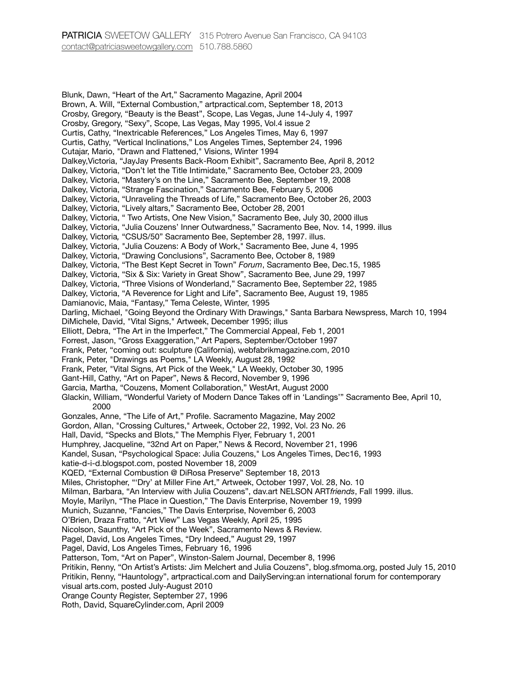Blunk, Dawn, "Heart of the Art," Sacramento Magazine, April 2004 Brown, A. Will, "External Combustion," artpractical.com, September 18, 2013 Crosby, Gregory, "Beauty is the Beast", Scope, Las Vegas, June 14-July 4, 1997 Crosby, Gregory, "Sexy", Scope, Las Vegas, May 1995, Vol.4 issue 2 Curtis, Cathy, "Inextricable References," Los Angeles Times, May 6, 1997 Curtis, Cathy, "Vertical Inclinations," Los Angeles Times, September 24, 1996 Cutajar, Mario, "Drawn and Flattened," Visions, Winter 1994 Dalkey,Victoria, "JayJay Presents Back-Room Exhibit", Sacramento Bee, April 8, 2012 Dalkey, Victoria, "Don't let the Title Intimidate," Sacramento Bee, October 23, 2009 Dalkey, Victoria, "Mastery's on the Line," Sacramento Bee, September 19, 2008 Dalkey, Victoria, "Strange Fascination," Sacramento Bee, February 5, 2006 Dalkey, Victoria, "Unraveling the Threads of Life," Sacramento Bee, October 26, 2003 Dalkey, Victoria, "Lively altars," Sacramento Bee, October 28, 2001 Dalkey, Victoria, " Two Artists, One New Vision," Sacramento Bee, July 30, 2000 illus Dalkey, Victoria, "Julia Couzens' Inner Outwardness," Sacramento Bee, Nov. 14, 1999. illus Dalkey, Victoria*,* "CSUS/50" Sacramento Bee, September 28, 1997. illus. Dalkey, Victoria, "Julia Couzens: A Body of Work," Sacramento Bee, June 4, 1995 Dalkey, Victoria, "Drawing Conclusions", Sacramento Bee, October 8, 1989 Dalkey, Victoria, "The Best Kept Secret in Town" *Forum*, Sacramento Bee, Dec.15, 1985 Dalkey, Victoria, "Six & Six: Variety in Great Show", Sacramento Bee, June 29, 1997 Dalkey, Victoria, "Three Visions of Wonderland," Sacramento Bee, September 22, 1985 Dalkey, Victoria, "A Reverence for Light and Life", Sacramento Bee, August 19, 1985 Damianovic, Maia, "Fantasy," Tema Celeste, Winter, 1995 Darling, Michael, "Going Beyond the Ordinary With Drawings," Santa Barbara Newspress, March 10, 1994 DiMichele, David, "Vital Signs," Artweek, December 1995; illus Elliott, Debra, "The Art in the Imperfect," The Commercial Appeal, Feb 1, 2001 Forrest, Jason, "Gross Exaggeration," Art Papers, September/October 1997 Frank, Peter, "coming out: sculpture (California), webfabrikmagazine.com, 2010 Frank, Peter, "Drawings as Poems," LA Weekly, August 28, 1992 Frank, Peter, "Vital Signs, Art Pick of the Week," LA Weekly, October 30, 1995 Gant-Hill, Cathy, "Art on Paper", News & Record, November 9, 1996 Garcia, Martha, "Couzens, Moment Collaboration," WestArt, August 2000 Glackin, William, "Wonderful Variety of Modern Dance Takes off in 'Landings'" Sacramento Bee, April 10, 2000 Gonzales, Anne, "The Life of Art," Profile. Sacramento Magazine, May 2002 Gordon, Allan, "Crossing Cultures," Artweek, October 22, 1992, Vol. 23 No. 26 Hall, David, "Specks and Blots," The Memphis Flyer, February 1, 2001 Humphrey, Jacqueline, "32nd Art on Paper," News & Record, November 21, 1996 Kandel, Susan, "Psychological Space: Julia Couzens," Los Angeles Times, Dec16, 1993 katie-d-i-d.blogspot.com, posted November 18, 2009 KQED, "External Combustion @ DiRosa Preserve" September 18, 2013 Miles, Christopher, "'Dry' at Miller Fine Art," Artweek, October 1997, Vol. 28, No. 10 Milman, Barbara, "An Interview with Julia Couzens", dav.art NELSON ART*friends*, Fall 1999. illus. Moyle, Marilyn, "The Place in Question," The Davis Enterprise, November 19, 1999 Munich, Suzanne, "Fancies," The Davis Enterprise, November 6, 2003 O'Brien, Draza Fratto, "Art View" Las Vegas Weekly, April 25, 1995 Nicolson, Saunthy, "Art Pick of the Week", Sacramento News & Review. Pagel, David, Los Angeles Times, "Dry Indeed," August 29, 1997 Pagel, David, Los Angeles Times, February 16, 1996 Patterson, Tom, "Art on Paper", Winston-Salem Journal, December 8, 1996 Pritikin, Renny, "On Artist's Artists: Jim Melchert and Julia Couzens", blog.sfmoma.org, posted July 15, 2010 Pritikin, Renny, "Hauntology", artpractical.com and DailyServing:an international forum for contemporary visual arts.com, posted July-August 2010 Orange County Register, September 27, 1996 Roth, David, SquareCylinder.com, April 2009